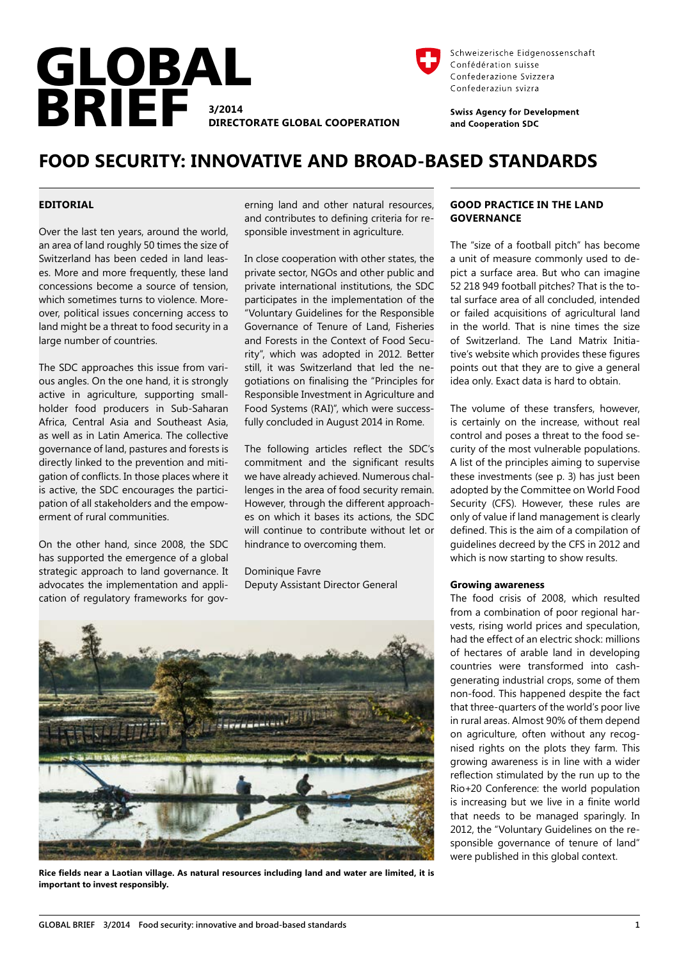



Schweizerische Eidgenossenschaft Confédération suisse Confederazione Svizzera Confederaziun svizra

**Swiss Agency for Development** and Cooperation SDC

# **FOOD SECURITY: INNOVATIVE AND BROAD-BASED STANDARDS**

# **EDITORIAL**

Over the last ten years, around the world, an area of land roughly 50 times the size of Switzerland has been ceded in land leases. More and more frequently, these land concessions become a source of tension, which sometimes turns to violence. Moreover, political issues concerning access to land might be a threat to food security in a large number of countries.

The SDC approaches this issue from various angles. On the one hand, it is strongly active in agriculture, supporting smallholder food producers in Sub-Saharan Africa, Central Asia and Southeast Asia, as well as in Latin America. The collective governance of land, pastures and forests is directly linked to the prevention and mitigation of conflicts. In those places where it is active, the SDC encourages the participation of all stakeholders and the empowerment of rural communities.

On the other hand, since 2008, the SDC has supported the emergence of a global strategic approach to land governance. It advocates the implementation and application of regulatory frameworks for governing land and other natural resources, and contributes to defining criteria for responsible investment in agriculture.

In close cooperation with other states, the private sector, NGOs and other public and private international institutions, the SDC participates in the implementation of the "Voluntary Guidelines for the Responsible Governance of Tenure of Land, Fisheries and Forests in the Context of Food Security", which was adopted in 2012. Better still, it was Switzerland that led the negotiations on finalising the "Principles for Responsible Investment in Agriculture and Food Systems (RAI)", which were successfully concluded in August 2014 in Rome.

The following articles reflect the SDC's commitment and the significant results we have already achieved. Numerous challenges in the area of food security remain. However, through the different approaches on which it bases its actions, the SDC will continue to contribute without let or hindrance to overcoming them.

Dominique Favre Deputy Assistant Director General



**Rice fields near a Laotian village. As natural resources including land and water are limited, it is important to invest responsibly.**

# **GOOD PRACTICE IN THE LAND GOVERNANCE**

The "size of a football pitch" has become a unit of measure commonly used to depict a surface area. But who can imagine 52 218 949 football pitches? That is the total surface area of all concluded, intended or failed acquisitions of agricultural land in the world. That is nine times the size of Switzerland. The Land Matrix Initiative's website which provides these figures points out that they are to give a general idea only. Exact data is hard to obtain.

The volume of these transfers, however, is certainly on the increase, without real control and poses a threat to the food security of the most vulnerable populations. A list of the principles aiming to supervise these investments (see p. 3) has just been adopted by the Committee on World Food Security (CFS). However, these rules are only of value if land management is clearly defined. This is the aim of a compilation of guidelines decreed by the CFS in 2012 and which is now starting to show results.

#### **Growing awareness**

The food crisis of 2008, which resulted from a combination of poor regional harvests, rising world prices and speculation, had the effect of an electric shock: millions of hectares of arable land in developing countries were transformed into cashgenerating industrial crops, some of them non-food. This happened despite the fact that three-quarters of the world's poor live in rural areas. Almost 90% of them depend on agriculture, often without any recognised rights on the plots they farm. This growing awareness is in line with a wider reflection stimulated by the run up to the Rio+20 Conference: the world population is increasing but we live in a finite world that needs to be managed sparingly. In 2012, the "Voluntary Guidelines on the responsible governance of tenure of land" were published in this global context.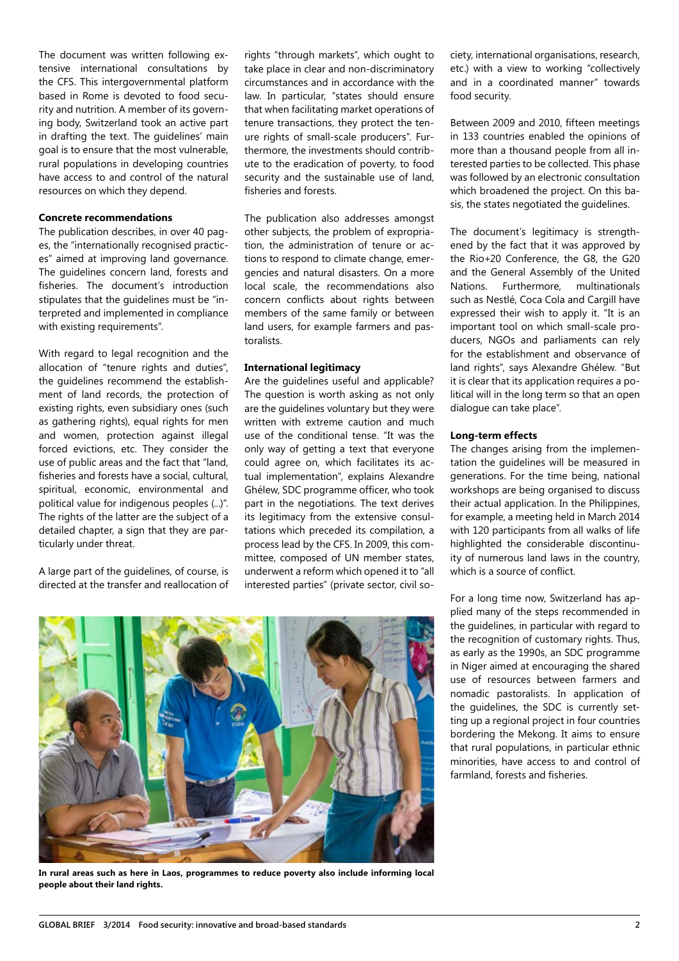The document was written following extensive international consultations by the CFS. This intergovernmental platform based in Rome is devoted to food security and nutrition. A member of its governing body, Switzerland took an active part in drafting the text. The guidelines' main goal is to ensure that the most vulnerable, rural populations in developing countries have access to and control of the natural resources on which they depend.

## **Concrete recommendations**

The publication describes, in over 40 pages, the "internationally recognised practices" aimed at improving land governance. The guidelines concern land, forests and fisheries. The document's introduction stipulates that the guidelines must be "interpreted and implemented in compliance with existing requirements".

With regard to legal recognition and the allocation of "tenure rights and duties", the guidelines recommend the establishment of land records, the protection of existing rights, even subsidiary ones (such as gathering rights), equal rights for men and women, protection against illegal forced evictions, etc. They consider the use of public areas and the fact that "land, fisheries and forests have a social, cultural, spiritual, economic, environmental and political value for indigenous peoples (...)". The rights of the latter are the subject of a detailed chapter, a sign that they are particularly under threat.

A large part of the guidelines, of course, is directed at the transfer and reallocation of rights "through markets", which ought to take place in clear and non-discriminatory circumstances and in accordance with the law. In particular, "states should ensure that when facilitating market operations of tenure transactions, they protect the tenure rights of small-scale producers". Furthermore, the investments should contribute to the eradication of poverty, to food security and the sustainable use of land, fisheries and forests.

The publication also addresses amongst other subjects, the problem of expropriation, the administration of tenure or actions to respond to climate change, emergencies and natural disasters. On a more local scale, the recommendations also concern conflicts about rights between members of the same family or between land users, for example farmers and pastoralists.

#### **International legitimacy**

Are the guidelines useful and applicable? The question is worth asking as not only are the guidelines voluntary but they were written with extreme caution and much use of the conditional tense. "It was the only way of getting a text that everyone could agree on, which facilitates its actual implementation", explains Alexandre Ghélew, SDC programme officer, who took part in the negotiations. The text derives its legitimacy from the extensive consultations which preceded its compilation, a process lead by the CFS. In 2009, this committee, composed of UN member states, underwent a reform which opened it to "all interested parties" (private sector, civil society, international organisations, research, etc.) with a view to working "collectively and in a coordinated manner" towards food security.

Between 2009 and 2010, fifteen meetings in 133 countries enabled the opinions of more than a thousand people from all interested parties to be collected. This phase was followed by an electronic consultation which broadened the project. On this basis, the states negotiated the guidelines.

The document's legitimacy is strengthened by the fact that it was approved by the Rio+20 Conference, the G8, the G20 and the General Assembly of the United Nations. Furthermore, multinationals such as Nestlé, Coca Cola and Cargill have expressed their wish to apply it. "It is an important tool on which small-scale producers, NGOs and parliaments can rely for the establishment and observance of land rights", says Alexandre Ghélew. "But it is clear that its application requires a political will in the long term so that an open dialogue can take place".

## **Long-term effects**

The changes arising from the implementation the guidelines will be measured in generations. For the time being, national workshops are being organised to discuss their actual application. In the Philippines, for example, a meeting held in March 2014 with 120 participants from all walks of life highlighted the considerable discontinuity of numerous land laws in the country, which is a source of conflict.

For a long time now, Switzerland has applied many of the steps recommended in the guidelines, in particular with regard to the recognition of customary rights. Thus, as early as the 1990s, an SDC programme in Niger aimed at encouraging the shared use of resources between farmers and nomadic pastoralists. In application of the guidelines, the SDC is currently setting up a regional project in four countries bordering the Mekong. It aims to ensure that rural populations, in particular ethnic minorities, have access to and control of farmland, forests and fisheries.



**In rural areas such as here in Laos, programmes to reduce poverty also include informing local people about their land rights.**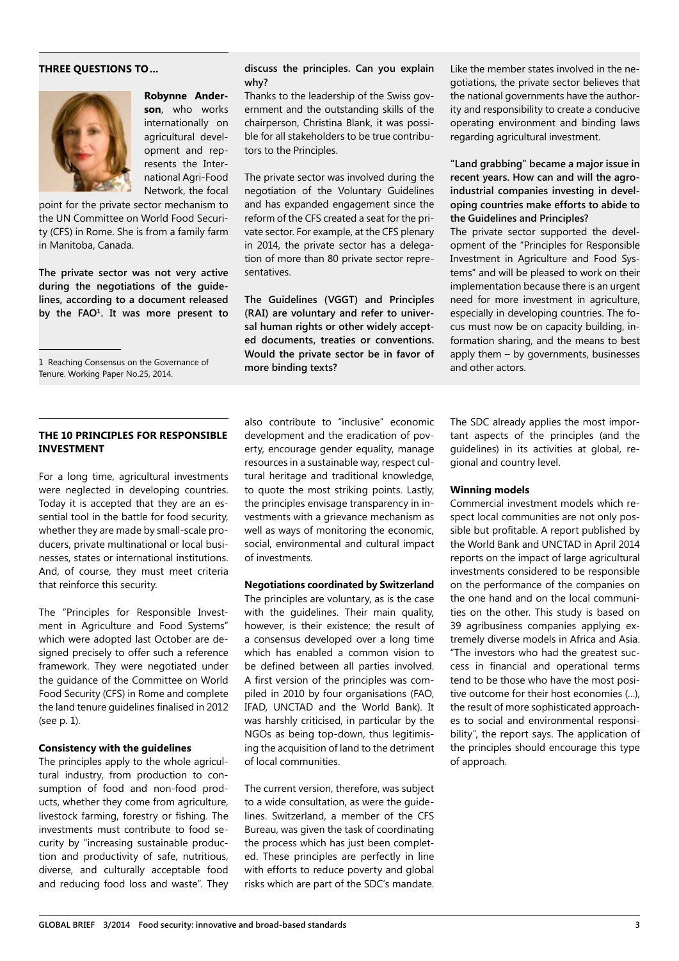# **THREE QUESTIONS TO...**



**Robynne Anderson**, who works internationally on agricultural development and represents the International Agri-Food Network, the focal

point for the private sector mechanism to the UN Committee on World Food Security (CFS) in Rome. She is from a family farm in Manitoba, Canada.

**The private sector was not very active during the negotiations of the guidelines, according to a document released by the FAO1. It was more present to** 

1 Reaching Consensus on the Governance of Tenure. Working Paper No.25, 2014.

# **THE 10 PRINCIPLES FOR RESPONSIBLE INVESTMENT**

For a long time, agricultural investments were neglected in developing countries. Today it is accepted that they are an essential tool in the battle for food security, whether they are made by small-scale producers, private multinational or local businesses, states or international institutions. And, of course, they must meet criteria that reinforce this security.

The "Principles for Responsible Investment in Agriculture and Food Systems" which were adopted last October are designed precisely to offer such a reference framework. They were negotiated under the guidance of the Committee on World Food Security (CFS) in Rome and complete the land tenure guidelines finalised in 2012 (see p. 1).

#### **Consistency with the guidelines**

The principles apply to the whole agricultural industry, from production to consumption of food and non-food products, whether they come from agriculture, livestock farming, forestry or fishing. The investments must contribute to food security by "increasing sustainable production and productivity of safe, nutritious, diverse, and culturally acceptable food and reducing food loss and waste". They

#### **discuss the principles. Can you explain why?**

Thanks to the leadership of the Swiss government and the outstanding skills of the chairperson, Christina Blank, it was possible for all stakeholders to be true contributors to the Principles.

The private sector was involved during the negotiation of the Voluntary Guidelines and has expanded engagement since the reform of the CFS created a seat for the private sector. For example, at the CFS plenary in 2014, the private sector has a delegation of more than 80 private sector representatives.

**The Guidelines (VGGT) and Principles (RAI) are voluntary and refer to universal human rights or other widely accepted documents, treaties or conventions. Would the private sector be in favor of more binding texts?**

also contribute to "inclusive" economic development and the eradication of poverty, encourage gender equality, manage resources in a sustainable way, respect cultural heritage and traditional knowledge, to quote the most striking points. Lastly, the principles envisage transparency in investments with a grievance mechanism as well as ways of monitoring the economic, social, environmental and cultural impact of investments.

#### **Negotiations coordinated by Switzerland**

The principles are voluntary, as is the case with the guidelines. Their main quality, however, is their existence; the result of a consensus developed over a long time which has enabled a common vision to be defined between all parties involved. A first version of the principles was compiled in 2010 by four organisations (FAO, IFAD, UNCTAD and the World Bank). It was harshly criticised, in particular by the NGOs as being top-down, thus legitimising the acquisition of land to the detriment of local communities.

The current version, therefore, was subject to a wide consultation, as were the guidelines. Switzerland, a member of the CFS Bureau, was given the task of coordinating the process which has just been completed. These principles are perfectly in line with efforts to reduce poverty and global risks which are part of the SDC's mandate.

Like the member states involved in the negotiations, the private sector believes that the national governments have the authority and responsibility to create a conducive operating environment and binding laws regarding agricultural investment.

# **"Land grabbing" became a major issue in recent years. How can and will the agroindustrial companies investing in developing countries make efforts to abide to the Guidelines and Principles?**

The private sector supported the development of the "Principles for Responsible Investment in Agriculture and Food Systems" and will be pleased to work on their implementation because there is an urgent need for more investment in agriculture, especially in developing countries. The focus must now be on capacity building, information sharing, and the means to best apply them – by governments, businesses and other actors.

The SDC already applies the most important aspects of the principles (and the guidelines) in its activities at global, regional and country level.

#### **Winning models**

Commercial investment models which respect local communities are not only possible but profitable. A report published by the World Bank and UNCTAD in April 2014 reports on the impact of large agricultural investments considered to be responsible on the performance of the companies on the one hand and on the local communities on the other. This study is based on 39 agribusiness companies applying extremely diverse models in Africa and Asia. "The investors who had the greatest success in financial and operational terms tend to be those who have the most positive outcome for their host economies (…), the result of more sophisticated approaches to social and environmental responsibility", the report says. The application of the principles should encourage this type of approach.